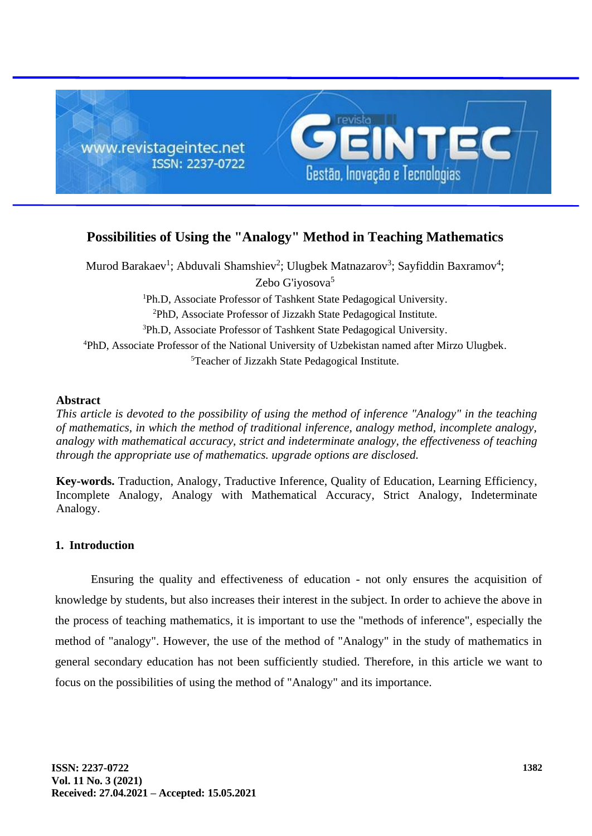

# **Possibilities of Using the "Analogy" Method in Teaching Mathematics**

Murod Barakaev<sup>1</sup>; Abduvali Shamshiev<sup>2</sup>; Ulugbek Matnazarov<sup>3</sup>; Sayfiddin Baxramov<sup>4</sup>; Zebo G'iyosova<sup>5</sup> Ph.D, Associate Professor of Tashkent State Pedagogical University. PhD, Associate Professor of Jizzakh State Pedagogical Institute. Ph.D, Associate Professor of Tashkent State Pedagogical University. PhD, Associate Professor of the National University of Uzbekistan named after Mirzo Ulugbek. Teacher of Jizzakh State Pedagogical Institute.

#### **Abstract**

*This article is devoted to the possibility of using the method of inference "Analogy" in the teaching of mathematics, in which the method of traditional inference, analogy method, incomplete analogy, analogy with mathematical accuracy, strict and indeterminate analogy, the effectiveness of teaching through the appropriate use of mathematics. upgrade options are disclosed.*

**Key-words.** Traduction, Analogy, Traductive Inference, Quality of Education, Learning Efficiency, Incomplete Analogy, Analogy with Mathematical Accuracy, Strict Analogy, Indeterminate Analogy.

# **1. Introduction**

Ensuring the quality and effectiveness of education - not only ensures the acquisition of knowledge by students, but also increases their interest in the subject. In order to achieve the above in the process of teaching mathematics, it is important to use the "methods of inference", especially the method of "analogy". However, the use of the method of "Analogy" in the study of mathematics in general secondary education has not been sufficiently studied. Therefore, in this article we want to focus on the possibilities of using the method of "Analogy" and its importance.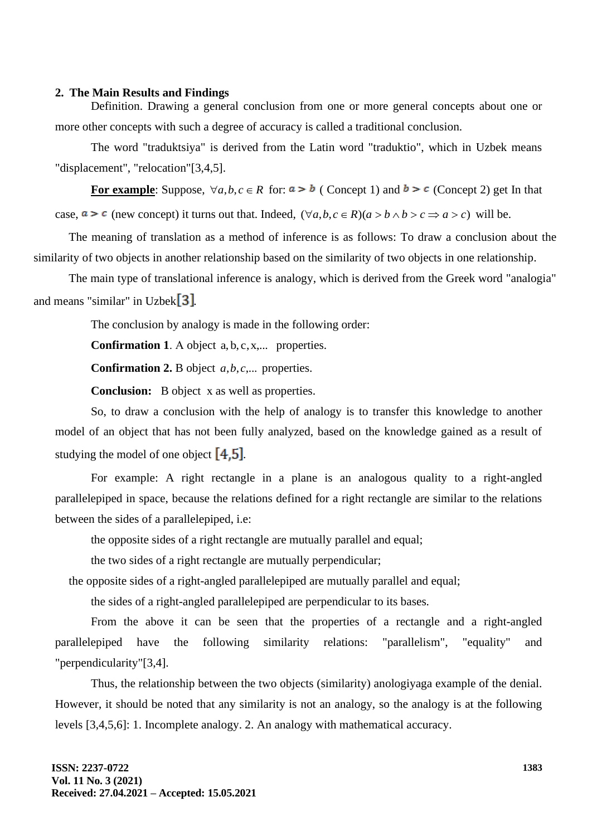### **2. The Main Results and Findings**

Definition. Drawing a general conclusion from one or more general concepts about one or more other concepts with such a degree of accuracy is called a traditional conclusion.

The word "traduktsiya" is derived from the Latin word "traduktio", which in Uzbek means "displacement", "relocation"[3,4,5].

**For example**: Suppose,  $\forall a, b, c \in R$  for:  $a > b$  (Concept 1) and  $b > c$  (Concept 2) get In that case,  $a > c$  (new concept) it turns out that. Indeed,  $(\forall a, b, c \in R)(a > b \land b > c \Rightarrow a > c)$  will be.

The meaning of translation as a method of inference is as follows: To draw a conclusion about the similarity of two objects in another relationship based on the similarity of two objects in one relationship.

The main type of translational inference is analogy, which is derived from the Greek word "analogia" and means "similar" in Uzbek  $\boxed{3}$ .

The conclusion by analogy is made in the following order:

**Confirmation 1**. А object a, b, c,x,... properties.

**Confirmation 2.** B object *a*,*b*,*c*,... properties.

**Conclusion:** B object х as well as properties.

So, to draw a conclusion with the help of analogy is to transfer this knowledge to another model of an object that has not been fully analyzed, based on the knowledge gained as a result of studying the model of one object  $[4.5]$ .

For example: A right rectangle in a plane is an analogous quality to a right-angled parallelepiped in space, because the relations defined for a right rectangle are similar to the relations between the sides of a parallelepiped, i.e:

the opposite sides of a right rectangle are mutually parallel and equal;

the two sides of a right rectangle are mutually perpendicular;

the opposite sides of a right-angled parallelepiped are mutually parallel and equal;

the sides of a right-angled parallelepiped are perpendicular to its bases*.* 

From the above it can be seen that the properties of a rectangle and a right-angled parallelepiped have the following similarity relations: "parallelism", "equality" and "perpendicularity"[3,4].

Thus, the relationship between the two objects (similarity) anologiyaga example of the denial. However, it should be noted that any similarity is not an analogy, so the analogy is at the following levels [3,4,5,6]: 1. Incomplete analogy. 2. An analogy with mathematical accuracy.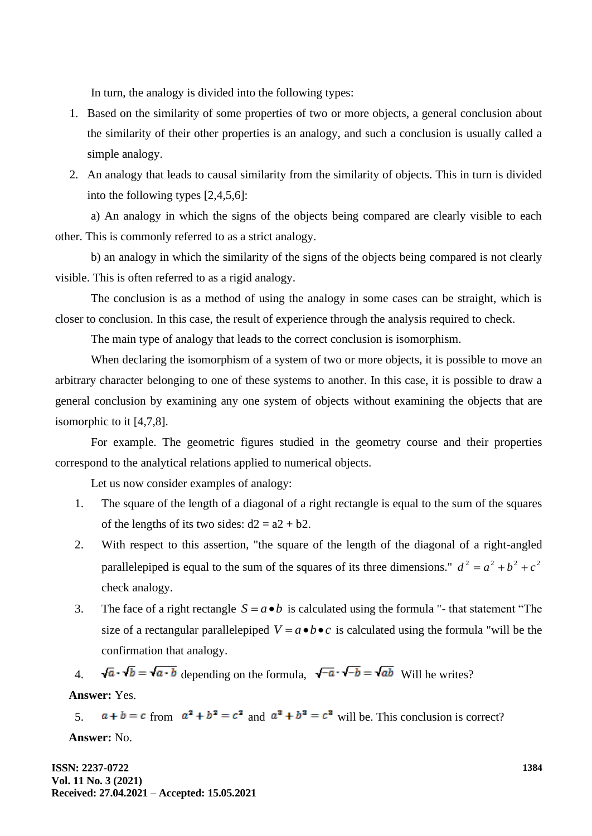In turn, the analogy is divided into the following types:

- 1. Based on the similarity of some properties of two or more objects, a general conclusion about the similarity of their other properties is an analogy, and such a conclusion is usually called a simple analogy.
- 2. An analogy that leads to causal similarity from the similarity of objects. This in turn is divided into the following types [2,4,5,6]:

a) An analogy in which the signs of the objects being compared are clearly visible to each other. This is commonly referred to as a strict analogy.

b) an analogy in which the similarity of the signs of the objects being compared is not clearly visible. This is often referred to as a rigid analogy.

The conclusion is as a method of using the analogy in some cases can be straight, which is closer to conclusion. In this case, the result of experience through the analysis required to check.

The main type of analogy that leads to the correct conclusion is isomorphism.

When declaring the isomorphism of a system of two or more objects, it is possible to move an arbitrary character belonging to one of these systems to another. In this case, it is possible to draw a general conclusion by examining any one system of objects without examining the objects that are isomorphic to it [4,7,8].

For example. The geometric figures studied in the geometry course and their properties correspond to the analytical relations applied to numerical objects.

Let us now consider examples of analogy:

- 1. The square of the length of a diagonal of a right rectangle is equal to the sum of the squares of the lengths of its two sides:  $d2 = a2 + b2$ .
- 2. With respect to this assertion, "the square of the length of the diagonal of a right-angled parallelepiped is equal to the sum of the squares of its three dimensions."  $d^2 = a^2 + b^2 + c^2$ check analogy.
- 3. The face of a right rectangle  $S = a \cdot b$  is calculated using the formula "- that statement "The size of a rectangular parallelepiped  $V = a \cdot b \cdot c$  is calculated using the formula "will be the confirmation that analogy.

4.  $\sqrt{a} \cdot \sqrt{b} = \sqrt{a \cdot b}$  depending on the formula,  $\sqrt{-a} \cdot \sqrt{-b} = \sqrt{ab}$  Will he writes? **Answer:** Yes.

5.  $a + b = c$  from  $a^2 + b^2 = c^2$  and  $a^2 + b^2 = c^2$  will be. This conclusion is correct? **Answer:** No.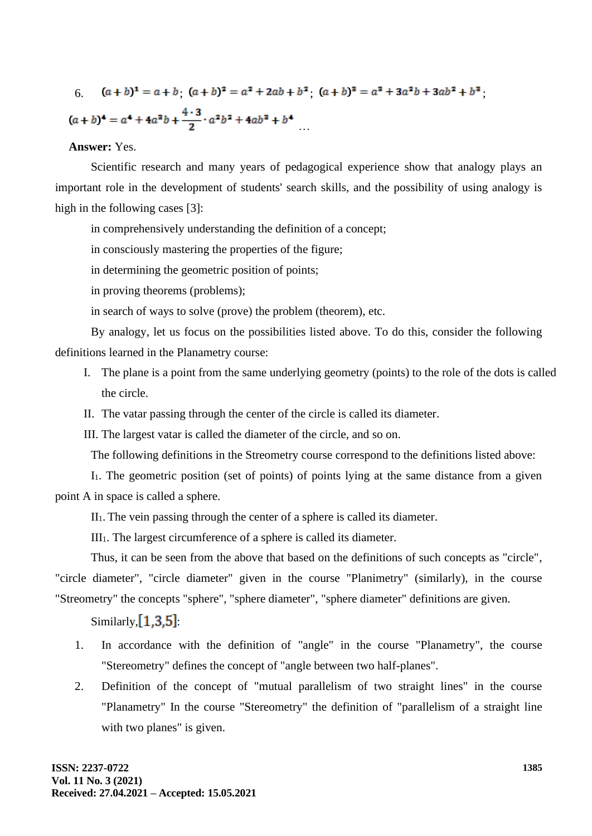$$
(a+b)^4 = a + b \cdot (a + b)^2 = a^2 + 2ab + b^2 \cdot (a + b)^3 = a^3 + 3a^2b + 3ab^2 + b^3
$$
\n
$$
(a + b)^4 = a^4 + 4a^2b + \frac{4 \cdot 3}{2} \cdot a^2b^2 + 4ab^3 + b^4
$$

# **Answer:** Yes.

Scientific research and many years of pedagogical experience show that analogy plays an important role in the development of students' search skills, and the possibility of using analogy is high in the following cases [3]:

in comprehensively understanding the definition of a concept;

in consciously mastering the properties of the figure;

in determining the geometric position of points;

in proving theorems (problems);

in search of ways to solve (prove) the problem (theorem), etc.

By analogy, let us focus on the possibilities listed above. To do this, consider the following definitions learned in the Planametry course:

- I. The plane is a point from the same underlying geometry (points) to the role of the dots is called the circle.
- II. The vatar passing through the center of the circle is called its diameter.

III. The largest vatar is called the diameter of the circle, and so on.

The following definitions in the Streometry course correspond to the definitions listed above:

I1. The geometric position (set of points) of points lying at the same distance from a given point A in space is called a sphere.

 $II<sub>1</sub>$ . The vein passing through the center of a sphere is called its diameter.

III1. The largest circumference of a sphere is called its diameter.

Thus, it can be seen from the above that based on the definitions of such concepts as "circle", "circle diameter", "circle diameter" given in the course "Planimetry" (similarly), in the course "Streometry" the concepts "sphere", "sphere diameter", "sphere diameter" definitions are given.

Similarly,  $[1,3,5]$ :

- 1. In accordance with the definition of "angle" in the course "Planametry", the course "Stereometry" defines the concept of "angle between two half-planes".
- 2. Definition of the concept of "mutual parallelism of two straight lines" in the course "Planametry" In the course "Stereometry" the definition of "parallelism of a straight line with two planes" is given.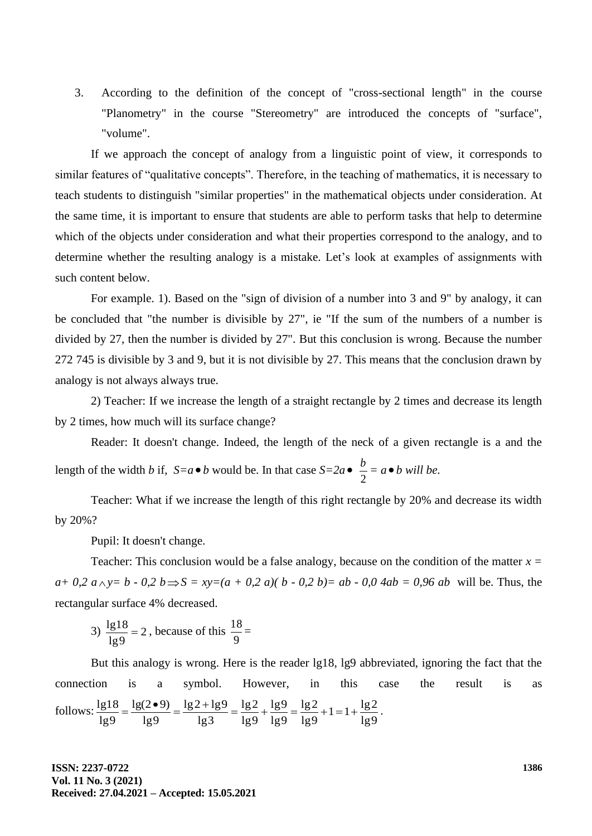3. According to the definition of the concept of "cross-sectional length" in the course "Planometry" in the course "Stereometry" are introduced the concepts of "surface", "volume".

If we approach the concept of analogy from a linguistic point of view, it corresponds to similar features of "qualitative concepts". Therefore, in the teaching of mathematics, it is necessary to teach students to distinguish "similar properties" in the mathematical objects under consideration. At the same time, it is important to ensure that students are able to perform tasks that help to determine which of the objects under consideration and what their properties correspond to the analogy, and to determine whether the resulting analogy is a mistake. Let's look at examples of assignments with such content below.

For example. 1). Based on the "sign of division of a number into 3 and 9" by analogy, it can be concluded that "the number is divisible by 27", ie "If the sum of the numbers of a number is divided by 27, then the number is divided by 27". But this conclusion is wrong. Because the number 272 745 is divisible by 3 and 9, but it is not divisible by 27. This means that the conclusion drawn by analogy is not always always true.

2) Teacher: If we increase the length of a straight rectangle by 2 times and decrease its length by 2 times, how much will its surface change?

Reader: It doesn't change. Indeed, the length of the neck of a given rectangle is a and the length of the width *b* if,  $S = a \cdot b$  would be. In that case  $S = 2a \cdot b$ 2  $\frac{b}{a} = a \bullet b$  will be.

Teacher: What if we increase the length of this right rectangle by 20% and decrease its width by 20%?

Pupil: It doesn't change.

Teacher: This conclusion would be a false analogy, because on the condition of the matter *x =*   $a + 0.2$   $a \wedge y = b - 0.2$   $b \Rightarrow S = xy = (a + 0.2 a)(b - 0.2 b) = ab - 0.0$   $4ab = 0.96$  *ab* will be. Thus, the rectangular surface 4% decreased.

3) 
$$
\frac{lg 18}{lg 9} = 2
$$
, because of this  $\frac{18}{9}$ 

But this analogy is wrong. Here is the reader lg18, lg9 abbreviated, ignoring the fact that the connection is a symbol. However, in this case the result is as follows: lg9  $1 = 1 + \frac{\lg 2}{\lg 2}$ lg9  $lg2$ lg9 lg9 lg9  $lg2$ lg3  $lg2 + lg9$ lg9  $lg(2 \cdot 9)$ lg9  $\frac{\lg 18}{\lg 18} = \frac{\lg (2 \cdot 9)}{\lg 18} = \frac{\lg 2 + \lg 9}{\lg 18} = \frac{\lg 2}{\lg 18} + \frac{\lg 9}{\lg 18} = \frac{\lg 2}{\lg 18} + 1 = 1 + \frac{\lg 2}{\lg 18}$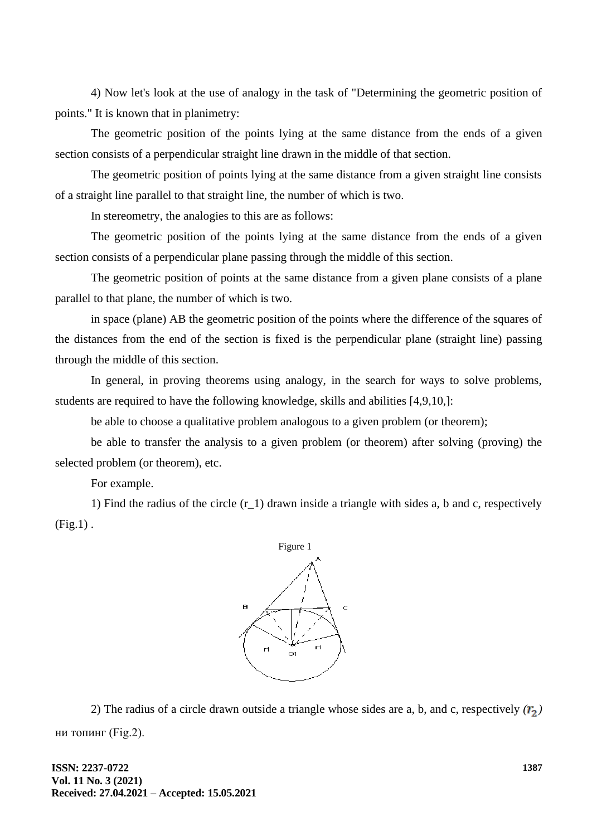4) Now let's look at the use of analogy in the task of "Determining the geometric position of points." It is known that in planimetry:

The geometric position of the points lying at the same distance from the ends of a given section consists of a perpendicular straight line drawn in the middle of that section.

The geometric position of points lying at the same distance from a given straight line consists of a straight line parallel to that straight line, the number of which is two.

In stereometry, the analogies to this are as follows:

The geometric position of the points lying at the same distance from the ends of a given section consists of a perpendicular plane passing through the middle of this section.

The geometric position of points at the same distance from a given plane consists of a plane parallel to that plane, the number of which is two.

in space (plane) AB the geometric position of the points where the difference of the squares of the distances from the end of the section is fixed is the perpendicular plane (straight line) passing through the middle of this section.

In general, in proving theorems using analogy, in the search for ways to solve problems, students are required to have the following knowledge, skills and abilities [4,9,10,]:

be able to choose a qualitative problem analogous to a given problem (or theorem);

be able to transfer the analysis to a given problem (or theorem) after solving (proving) the selected problem (or theorem), etc.

For example.

1) Find the radius of the circle  $(r_1)$  drawn inside a triangle with sides a, b and c, respectively  $(Fig.1)$ .



2) The radius of a circle drawn outside a triangle whose sides are a, b, and c, respectively  $(r_2)$ ни топинг (Fig.2).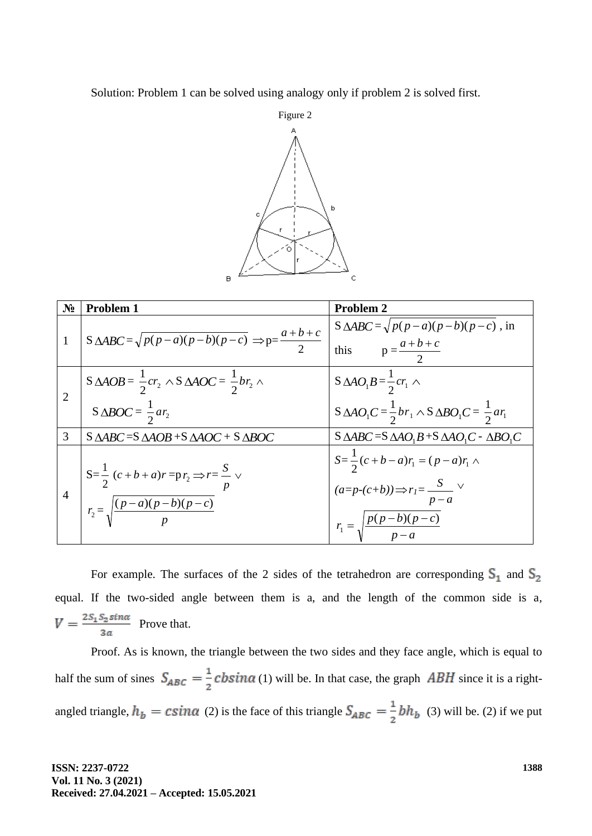Solution: Problem 1 can be solved using analogy only if problem 2 is solved first.



| $N_2$        | <b>Problem 1</b>                                                                                      | Problem 2                                                                                                                       |
|--------------|-------------------------------------------------------------------------------------------------------|---------------------------------------------------------------------------------------------------------------------------------|
| $\mathbf{1}$ | $S \triangle ABC = \sqrt{p(p-a)(p-b)(p-c)} \Rightarrow p = \frac{a+b+c}{2}$                           | $S \triangle ABC = \sqrt{p(p-a)(p-b)(p-c)}$ , in<br>this $p = \frac{a+b+c}{2}$                                                  |
|              | $S \triangle AOB = \frac{1}{2} c r_2 \wedge S \triangle AOC = \frac{1}{2} b r_2 \wedge$               | $S \triangle A O_1 B = \frac{1}{2} c r_1 \wedge$                                                                                |
|              | S $\triangle BOC = \frac{1}{2}ar_2$                                                                   | $S \triangle A O_1 C = \frac{1}{2} b r_1 \wedge S \triangle B O_1 C = \frac{1}{2} a r_1$                                        |
| 3            | $S \triangle ABC = S \triangle AOB + S \triangle AOC + S \triangle BOC$                               | $S \triangle ABC = S \triangle AO_1B + S \triangle AO_1C - \triangle BO_1C$                                                     |
|              | $S=\frac{1}{2}(c+b+a)r = p r_2 \Rightarrow r=\frac{S}{p}$<br>$r_2 = \sqrt{\frac{(p-a)(p-b)(p-c)}{p}}$ | $S=\frac{1}{2}(c+b-a)r_1 = (p-a)r_1$<br>$(a=p-(c+b)) \Rightarrow r_1 = \frac{S}{p-a}$<br>$r_1 = \sqrt{\frac{p(p-b)(p-c)}{p-a}}$ |

For example. The surfaces of the 2 sides of the tetrahedron are corresponding  $S_1$  and  $S_2$ equal. If the two-sided angle between them is a, and the length of the common side is a*,*   $V = \frac{2S_1S_2sin\alpha}{3a}$  Prove that.

Proof. As is known, the triangle between the two sides and they face angle, which is equal to half the sum of sines  $S_{ABC} = \frac{1}{2} cbsin\alpha$  (1) will be. In that case, the graph ABH since it is a rightangled triangle,  $h_b = csin\alpha$  (2) is the face of this triangle  $S_{ABC} = \frac{1}{2}bh_b$  (3) will be. (2) if we put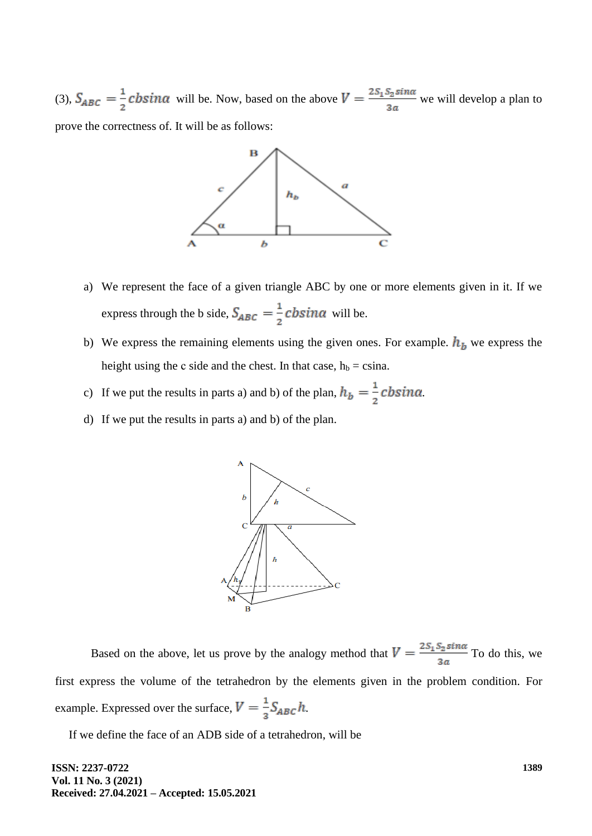(3),  $S_{ABC} = \frac{1}{2}$  cbsina will be. Now, based on the above  $V = \frac{2S_1 S_2 \sin \alpha}{3a}$  we will develop a plan to prove the correctness of. It will be as follows:



- a) We represent the face of a given triangle ABC by one or more elements given in it. If we express through the b side,  $S_{ABC} = \frac{1}{2} cbsin\alpha$  will be.
- b) We express the remaining elements using the given ones. For example.  $h_b$  we express the height using the c side and the chest. In that case,  $h_b = c \sin a$ .
- c) If we put the results in parts a) and b) of the plan,  $h_b = \frac{1}{2}$  c b sin  $\alpha$ .
- d) If we put the results in parts a) and b) of the plan.



Based on the above, let us prove by the analogy method that  $V = \frac{2S_1S_2\sin\alpha}{3a}$  To do this, we first express the volume of the tetrahedron by the elements given in the problem condition. For example. Expressed over the surface,  $V = \frac{1}{3} S_{ABC} h$ .

If we define the face of an ADB side of a tetrahedron, will be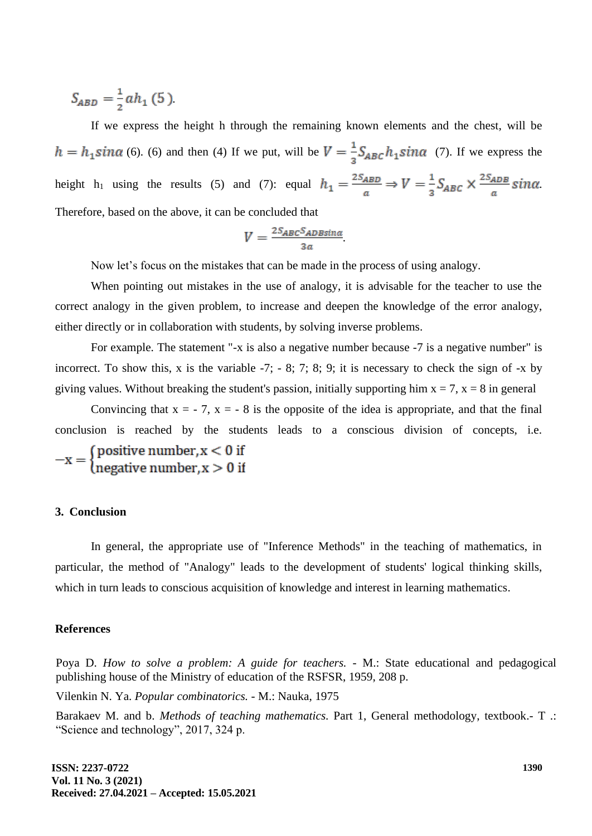$$
S_{ABD} = \frac{1}{2}ah_1(5).
$$

If we express the height h through the remaining known elements and the chest, will be  $h = h_1 \sin \alpha$  (6). (6) and then (4) If we put, will be  $V = \frac{1}{2} S_{ABC} h_1 \sin \alpha$  (7). If we express the height h<sub>1</sub> using the results (5) and (7): equal  $h_1 = \frac{2S_{ABD}}{a} \Rightarrow V = \frac{1}{3}S_{ABC} \times \frac{2S_{ADB}}{a} \sin \alpha$ . Therefore, based on the above, it can be concluded that

$$
V = \frac{^{2S_{ABC}S_{ADBsin\alpha}}}{^{3a}}
$$

Now let's focus on the mistakes that can be made in the process of using analogy.

When pointing out mistakes in the use of analogy, it is advisable for the teacher to use the correct analogy in the given problem, to increase and deepen the knowledge of the error analogy, either directly or in collaboration with students, by solving inverse problems.

For example. The statement "-x is also a negative number because -7 is a negative number" is incorrect. To show this, x is the variable -7; - 8; 7; 8; 9; it is necessary to check the sign of -x by giving values. Without breaking the student's passion, initially supporting him  $x = 7$ ,  $x = 8$  in general

Convincing that  $x = -7$ ,  $x = -8$  is the opposite of the idea is appropriate, and that the final conclusion is reached by the students leads to a conscious division of concepts, i.e.

 $-x = \begin{cases} positive number, x < 0 \text{ if} \\ negative number, x > 0 \text{ if} \end{cases}$ 

#### **3. Conclusion**

In general, the appropriate use of "Inference Methods" in the teaching of mathematics, in particular, the method of "Analogy" leads to the development of students' logical thinking skills, which in turn leads to conscious acquisition of knowledge and interest in learning mathematics.

#### **References**

Poya D. *How to solve a problem: A guide for teachers.* - M.: State educational and pedagogical publishing house of the Ministry of education of the RSFSR, 1959, 208 p.

Vilenkin N. Ya. *Popular combinatorics.* - M.: Nauka, 1975

Barakaev M. and b. *Methods of teaching mathematics.* Part 1, General methodology, textbook.- T .: "Science and technology", 2017, 324 p.